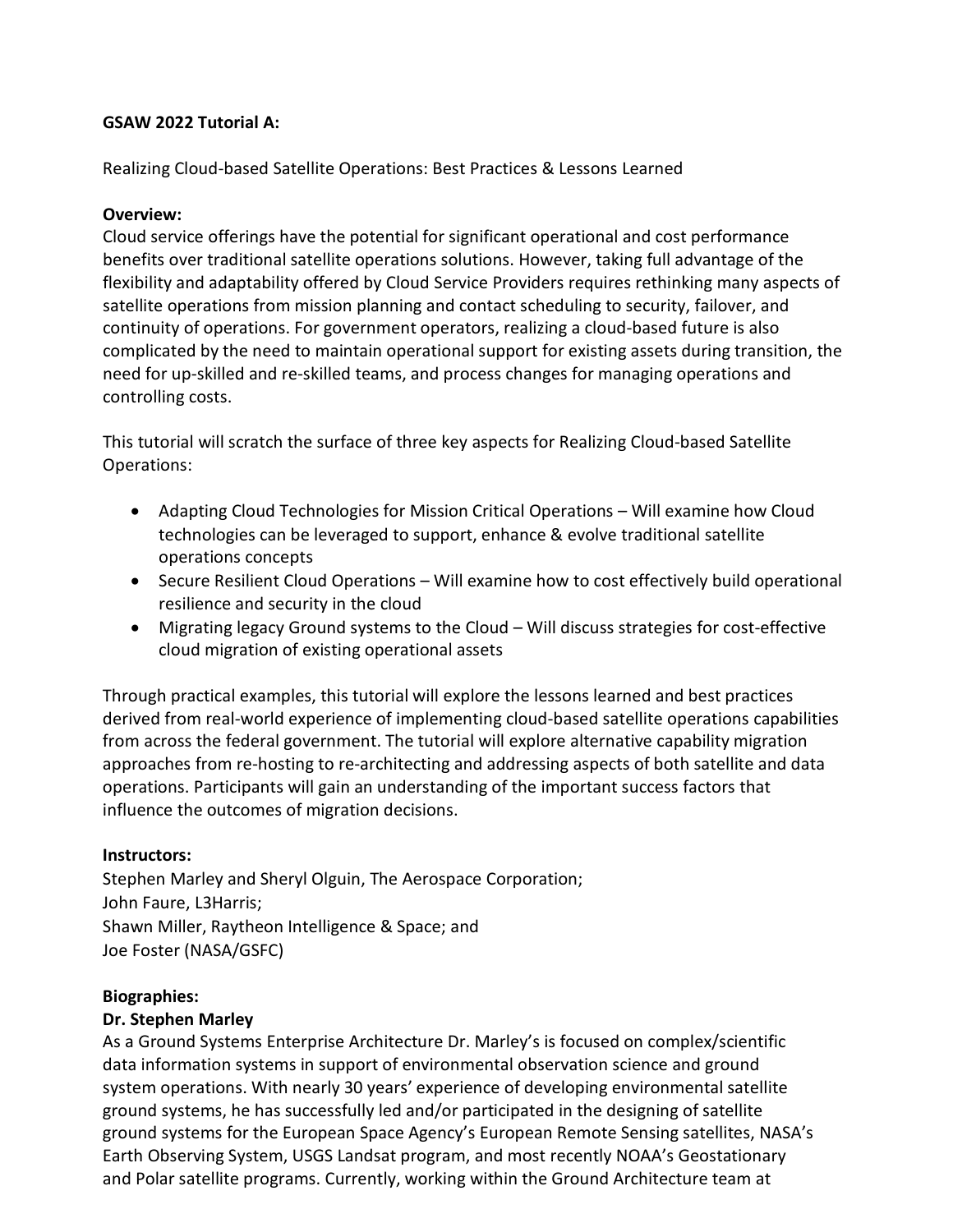### **GSAW 2022 Tutorial A:**

Realizing Cloud-based Satellite Operations: Best Practices & Lessons Learned

### **Overview:**

Cloud service offerings have the potential for significant operational and cost performance benefits over traditional satellite operations solutions. However, taking full advantage of the flexibility and adaptability offered by Cloud Service Providers requires rethinking many aspects of satellite operations from mission planning and contact scheduling to security, failover, and continuity of operations. For government operators, realizing a cloud-based future is also complicated by the need to maintain operational support for existing assets during transition, the need for up-skilled and re-skilled teams, and process changes for managing operations and controlling costs.

This tutorial will scratch the surface of three key aspects for Realizing Cloud-based Satellite Operations:

- Adapting Cloud Technologies for Mission Critical Operations Will examine how Cloud technologies can be leveraged to support, enhance & evolve traditional satellite operations concepts
- Secure Resilient Cloud Operations Will examine how to cost effectively build operational resilience and security in the cloud
- Migrating legacy Ground systems to the Cloud Will discuss strategies for cost-effective cloud migration of existing operational assets

Through practical examples, this tutorial will explore the lessons learned and best practices derived from real-world experience of implementing cloud-based satellite operations capabilities from across the federal government. The tutorial will explore alternative capability migration approaches from re-hosting to re-architecting and addressing aspects of both satellite and data operations. Participants will gain an understanding of the important success factors that influence the outcomes of migration decisions.

# **Instructors:**

Stephen Marley and Sheryl Olguin, The Aerospace Corporation; John Faure, L3Harris; Shawn Miller, Raytheon Intelligence & Space; and Joe Foster (NASA/GSFC)

#### **Biographies:**

# **Dr. Stephen Marley**

As a Ground Systems Enterprise Architecture Dr. Marley's is focused on complex/scientific data information systems in support of environmental observation science and ground system operations. With nearly 30 years' experience of developing environmental satellite ground systems, he has successfully led and/or participated in the designing of satellite ground systems for the European Space Agency's European Remote Sensing satellites, NASA's Earth Observing System, USGS Landsat program, and most recently NOAA's Geostationary and Polar satellite programs. Currently, working within the Ground Architecture team at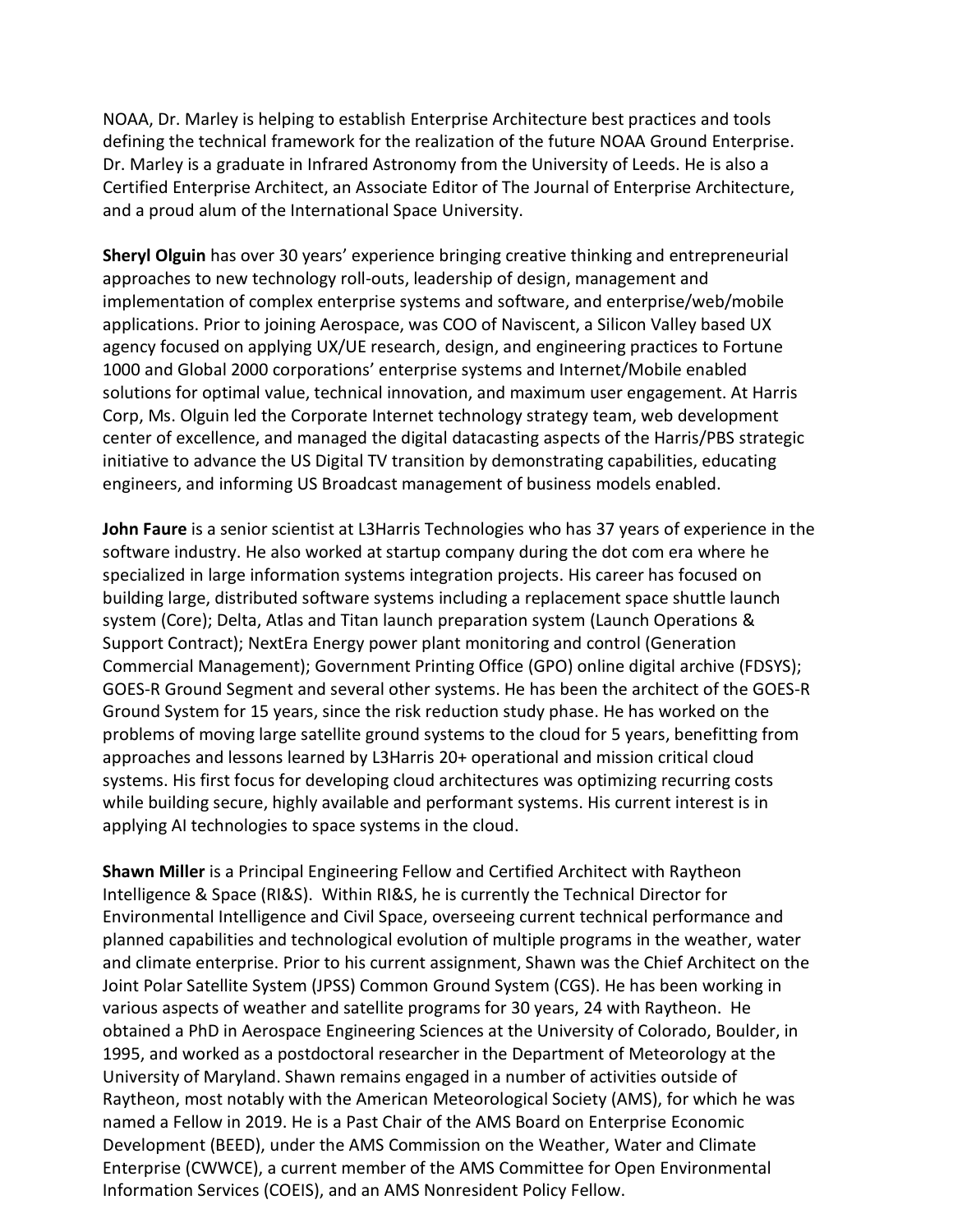NOAA, Dr. Marley is helping to establish Enterprise Architecture best practices and tools defining the technical framework for the realization of the future NOAA Ground Enterprise. Dr. Marley is a graduate in Infrared Astronomy from the University of Leeds. He is also a Certified Enterprise Architect, an Associate Editor of The Journal of Enterprise Architecture, and a proud alum of the International Space University.

**Sheryl Olguin** has over 30 years' experience bringing creative thinking and entrepreneurial approaches to new technology roll-outs, leadership of design, management and implementation of complex enterprise systems and software, and enterprise/web/mobile applications. Prior to joining Aerospace, was COO of Naviscent, a Silicon Valley based UX agency focused on applying UX/UE research, design, and engineering practices to Fortune 1000 and Global 2000 corporations' enterprise systems and Internet/Mobile enabled solutions for optimal value, technical innovation, and maximum user engagement. At Harris Corp, Ms. Olguin led the Corporate Internet technology strategy team, web development center of excellence, and managed the digital datacasting aspects of the Harris/PBS strategic initiative to advance the US Digital TV transition by demonstrating capabilities, educating engineers, and informing US Broadcast management of business models enabled.

**John Faure** is a senior scientist at L3Harris Technologies who has 37 years of experience in the software industry. He also worked at startup company during the dot com era where he specialized in large information systems integration projects. His career has focused on building large, distributed software systems including a replacement space shuttle launch system (Core); Delta, Atlas and Titan launch preparation system (Launch Operations & Support Contract); NextEra Energy power plant monitoring and control (Generation Commercial Management); Government Printing Office (GPO) online digital archive (FDSYS); GOES-R Ground Segment and several other systems. He has been the architect of the GOES-R Ground System for 15 years, since the risk reduction study phase. He has worked on the problems of moving large satellite ground systems to the cloud for 5 years, benefitting from approaches and lessons learned by L3Harris 20+ operational and mission critical cloud systems. His first focus for developing cloud architectures was optimizing recurring costs while building secure, highly available and performant systems. His current interest is in applying AI technologies to space systems in the cloud.

**Shawn Miller** is a Principal Engineering Fellow and Certified Architect with Raytheon Intelligence & Space (RI&S). Within RI&S, he is currently the Technical Director for Environmental Intelligence and Civil Space, overseeing current technical performance and planned capabilities and technological evolution of multiple programs in the weather, water and climate enterprise. Prior to his current assignment, Shawn was the Chief Architect on the Joint Polar Satellite System (JPSS) Common Ground System (CGS). He has been working in various aspects of weather and satellite programs for 30 years, 24 with Raytheon. He obtained a PhD in Aerospace Engineering Sciences at the University of Colorado, Boulder, in 1995, and worked as a postdoctoral researcher in the Department of Meteorology at the University of Maryland. Shawn remains engaged in a number of activities outside of Raytheon, most notably with the American Meteorological Society (AMS), for which he was named a Fellow in 2019. He is a Past Chair of the AMS Board on Enterprise Economic Development (BEED), under the AMS Commission on the Weather, Water and Climate Enterprise (CWWCE), a current member of the AMS Committee for Open Environmental Information Services (COEIS), and an AMS Nonresident Policy Fellow.